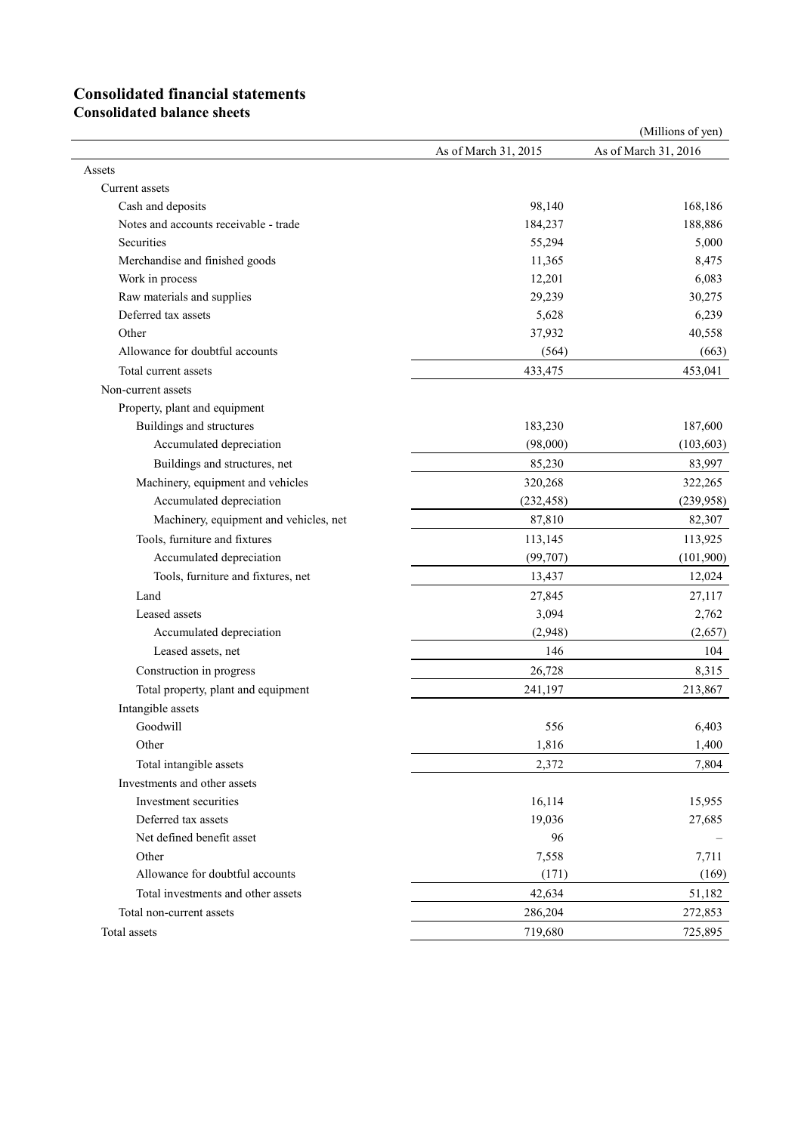# **Consolidated financial statements**

**Consolidated balance sheets**

|                                        |                      | (Millions of yen)    |
|----------------------------------------|----------------------|----------------------|
|                                        | As of March 31, 2015 | As of March 31, 2016 |
| Assets                                 |                      |                      |
| Current assets                         |                      |                      |
| Cash and deposits                      | 98,140               | 168,186              |
| Notes and accounts receivable - trade  | 184,237              | 188,886              |
| Securities                             | 55,294               | 5,000                |
| Merchandise and finished goods         | 11,365               | 8,475                |
| Work in process                        | 12,201               | 6,083                |
| Raw materials and supplies             | 29,239               | 30,275               |
| Deferred tax assets                    | 5,628                | 6,239                |
| Other                                  | 37,932               | 40,558               |
| Allowance for doubtful accounts        | (564)                | (663)                |
| Total current assets                   | 433,475              | 453,041              |
| Non-current assets                     |                      |                      |
| Property, plant and equipment          |                      |                      |
| Buildings and structures               | 183,230              | 187,600              |
| Accumulated depreciation               | (98,000)             | (103, 603)           |
| Buildings and structures, net          | 85,230               | 83,997               |
| Machinery, equipment and vehicles      | 320,268              | 322,265              |
| Accumulated depreciation               | (232, 458)           | (239,958)            |
| Machinery, equipment and vehicles, net | 87,810               | 82,307               |
| Tools, furniture and fixtures          | 113,145              | 113,925              |
| Accumulated depreciation               | (99,707)             | (101,900)            |
| Tools, furniture and fixtures, net     | 13,437               | 12,024               |
| Land                                   | 27,845               | 27,117               |
| Leased assets                          | 3,094                | 2,762                |
| Accumulated depreciation               | (2,948)              | (2,657)              |
| Leased assets, net                     | 146                  | 104                  |
| Construction in progress               | 26,728               | 8,315                |
| Total property, plant and equipment    | 241,197              | 213,867              |
| Intangible assets                      |                      |                      |
| Goodwill                               | 556                  | 6,403                |
| Other                                  | 1,816                | 1,400                |
| Total intangible assets                | 2,372                | 7,804                |
| Investments and other assets           |                      |                      |
| Investment securities                  | 16,114               | 15,955               |
| Deferred tax assets                    | 19,036               | 27,685               |
| Net defined benefit asset              | 96                   |                      |
| Other                                  | 7,558                | 7,711                |
| Allowance for doubtful accounts        | (171)                | (169)                |
| Total investments and other assets     |                      |                      |
|                                        | 42,634               | 51,182               |
| Total non-current assets               | 286,204              | 272,853              |
| Total assets                           | 719,680              | 725,895              |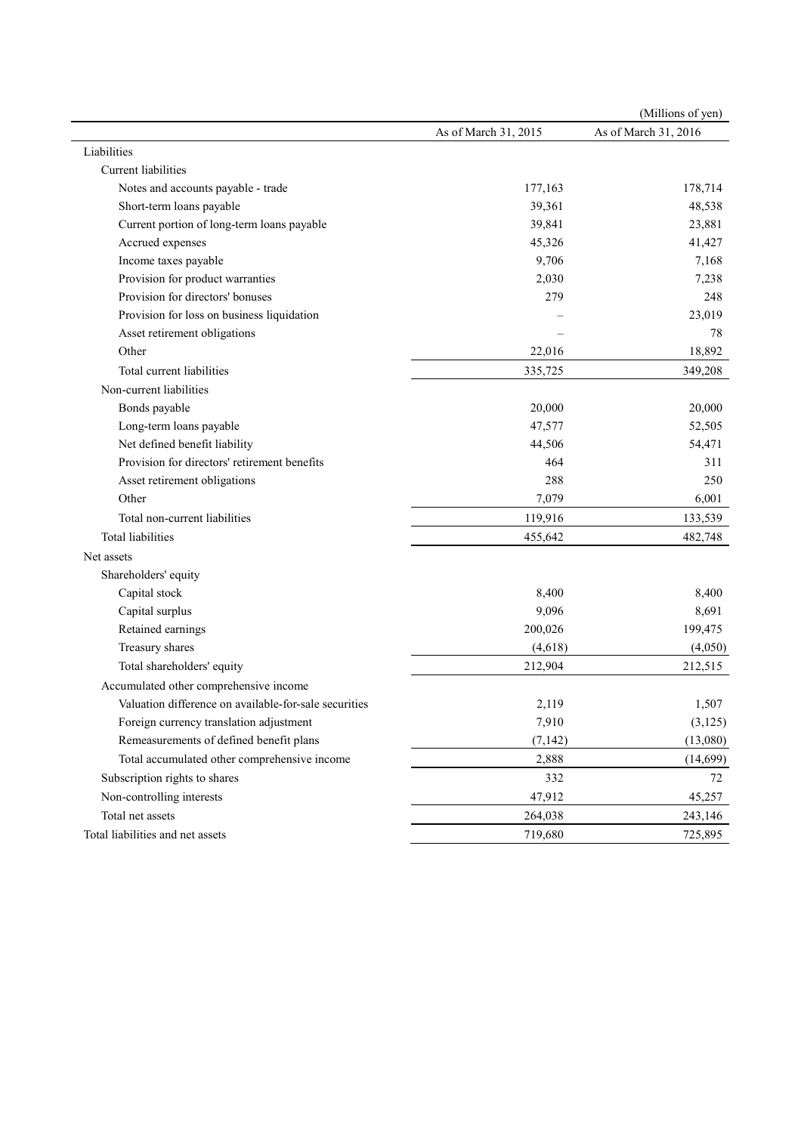| As of March 31, 2016 |
|----------------------|
|                      |
|                      |
| 178,714              |
| 48,538               |
| 23,881               |
| 41,427               |
| 7,168                |
| 7,238                |
| 248                  |
| 23,019               |
| 78                   |
| 18,892               |
| 349,208              |
|                      |
| 20,000               |
| 52,505               |
| 54,471               |
| 311                  |
| 250                  |
| 6,001                |
| 133,539              |
| 482,748              |
|                      |
|                      |
| 8,400                |
| 8,691                |
| 199,475              |
| (4,050)              |
| 212,515              |
|                      |
| 1,507                |
| (3, 125)             |
| (13,080)             |
| (14,699)             |
| 72                   |
| 45,257               |
| 243,146              |
| 725,895              |
|                      |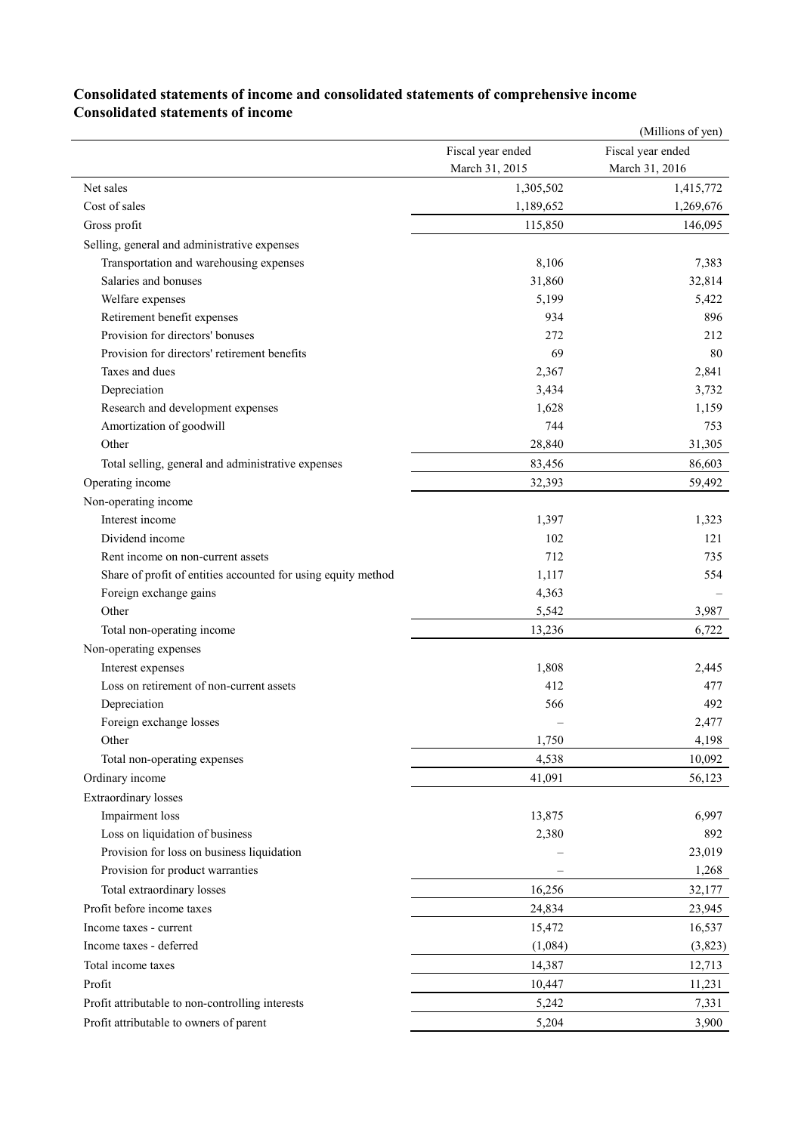|                                                               |                   | (Millions of yen) |
|---------------------------------------------------------------|-------------------|-------------------|
|                                                               | Fiscal year ended | Fiscal year ended |
|                                                               | March 31, 2015    | March 31, 2016    |
| Net sales                                                     | 1,305,502         | 1,415,772         |
| Cost of sales                                                 | 1,189,652         | 1,269,676         |
| Gross profit                                                  | 115,850           | 146,095           |
| Selling, general and administrative expenses                  |                   |                   |
| Transportation and warehousing expenses                       | 8,106             | 7,383             |
| Salaries and bonuses                                          | 31,860            | 32,814            |
| Welfare expenses                                              | 5,199             | 5,422             |
| Retirement benefit expenses                                   | 934               | 896               |
| Provision for directors' bonuses                              | 272               | 212               |
| Provision for directors' retirement benefits                  | 69                | 80                |
| Taxes and dues                                                | 2,367             | 2,841             |
| Depreciation                                                  | 3,434             | 3,732             |
| Research and development expenses                             | 1,628             | 1,159             |
| Amortization of goodwill                                      | 744               | 753               |
| Other                                                         | 28,840            | 31,305            |
| Total selling, general and administrative expenses            | 83,456            | 86,603            |
| Operating income                                              | 32,393            | 59,492            |
| Non-operating income                                          |                   |                   |
| Interest income                                               | 1,397             | 1,323             |
| Dividend income                                               | 102               | 121               |
| Rent income on non-current assets                             | 712               | 735               |
| Share of profit of entities accounted for using equity method | 1,117             | 554               |
| Foreign exchange gains                                        | 4,363             |                   |
| Other                                                         | 5,542             | 3,987             |
| Total non-operating income                                    | 13,236            | 6,722             |
| Non-operating expenses                                        |                   |                   |
| Interest expenses                                             | 1,808             | 2,445             |
| Loss on retirement of non-current assets                      | 412               | 477               |
| Depreciation                                                  | 566               | 492               |
| Foreign exchange losses                                       |                   | 2,477             |
| Other                                                         | 1,750             | 4,198             |
| Total non-operating expenses                                  | 4,538             | 10,092            |
| Ordinary income                                               | 41,091            | 56,123            |
| <b>Extraordinary losses</b>                                   |                   |                   |
| Impairment loss                                               | 13,875            | 6,997             |
| Loss on liquidation of business                               | 2,380             | 892               |
| Provision for loss on business liquidation                    |                   | 23,019            |
| Provision for product warranties                              |                   | 1,268             |
| Total extraordinary losses                                    | 16,256            | 32,177            |
| Profit before income taxes                                    | 24,834            | 23,945            |
| Income taxes - current                                        | 15,472            | 16,537            |
| Income taxes - deferred                                       | (1,084)           | (3,823)           |
| Total income taxes                                            | 14,387            | 12,713            |
| Profit                                                        | 10,447            | 11,231            |
| Profit attributable to non-controlling interests              | 5,242             | 7,331             |
| Profit attributable to owners of parent                       | 5,204             | 3,900             |
|                                                               |                   |                   |

### **Consolidated statements of income and consolidated statements of comprehensive income Consolidated statements of income**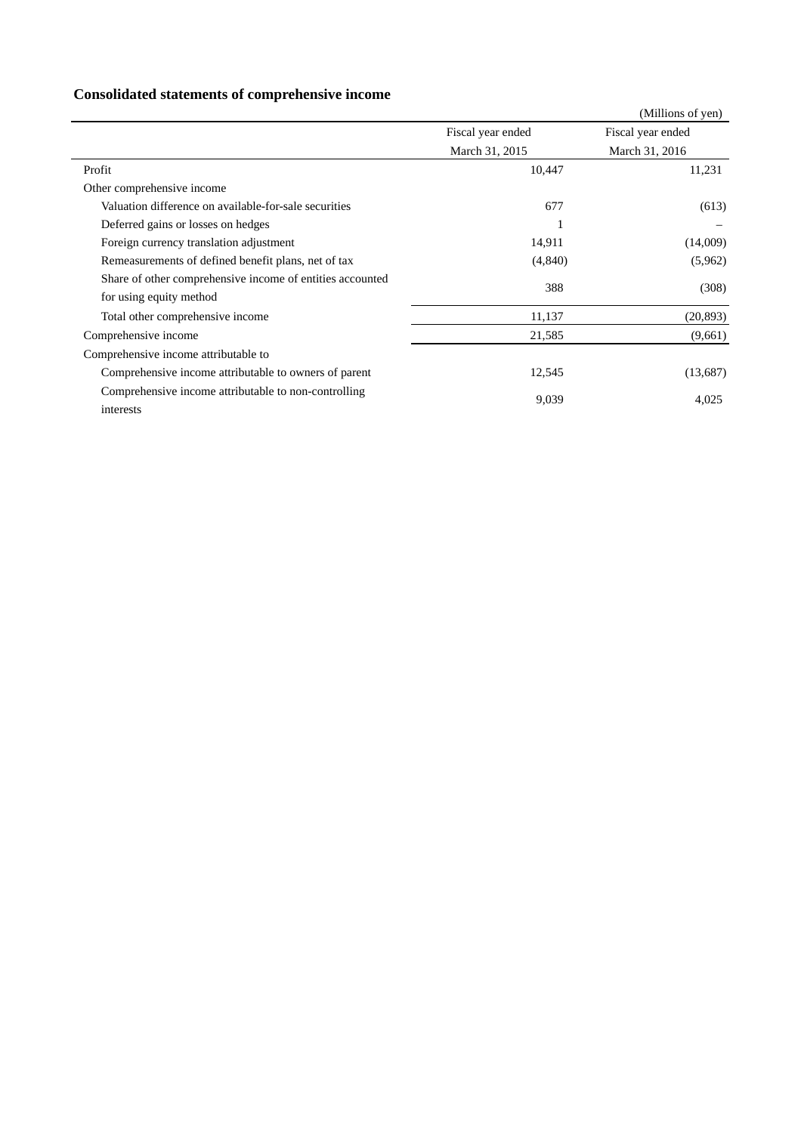## **Consolidated statements of comprehensive income**

|                                                           |                   | (Millions of yen) |
|-----------------------------------------------------------|-------------------|-------------------|
|                                                           | Fiscal year ended | Fiscal year ended |
|                                                           | March 31, 2015    | March 31, 2016    |
| Profit                                                    | 10,447            | 11,231            |
| Other comprehensive income                                |                   |                   |
| Valuation difference on available-for-sale securities     | 677               | (613)             |
| Deferred gains or losses on hedges                        |                   |                   |
| Foreign currency translation adjustment                   | 14,911            | (14,009)          |
| Remeasurements of defined benefit plans, net of tax       | (4,840)           | (5,962)           |
| Share of other comprehensive income of entities accounted | 388               | (308)             |
| for using equity method                                   |                   |                   |
| Total other comprehensive income                          | 11,137            | (20, 893)         |
| Comprehensive income                                      | 21,585            | (9,661)           |
| Comprehensive income attributable to                      |                   |                   |
| Comprehensive income attributable to owners of parent     | 12,545            | (13,687)          |
| Comprehensive income attributable to non-controlling      |                   |                   |
| interests                                                 | 9,039             | 4,025             |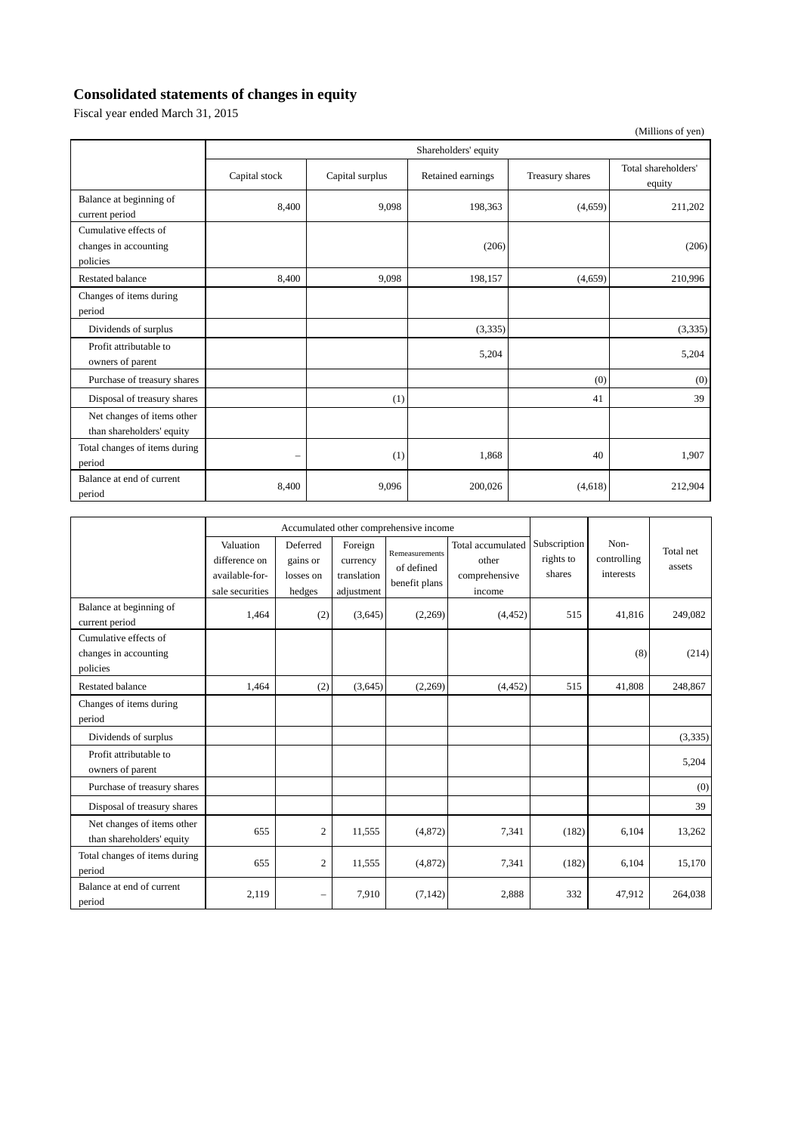## **Consolidated statements of changes in equity**

Fiscal year ended March 31, 2015

|                                                            |               |                 |                      |                 | (Millions of yen)             |
|------------------------------------------------------------|---------------|-----------------|----------------------|-----------------|-------------------------------|
|                                                            |               |                 | Shareholders' equity |                 |                               |
|                                                            | Capital stock | Capital surplus | Retained earnings    | Treasury shares | Total shareholders'<br>equity |
| Balance at beginning of<br>current period                  | 8,400         | 9,098           | 198,363              | (4,659)         | 211,202                       |
| Cumulative effects of<br>changes in accounting<br>policies |               |                 | (206)                |                 | (206)                         |
| <b>Restated balance</b>                                    | 8,400         | 9,098           | 198,157              | (4,659)         | 210,996                       |
| Changes of items during<br>period                          |               |                 |                      |                 |                               |
| Dividends of surplus                                       |               |                 | (3, 335)             |                 | (3,335)                       |
| Profit attributable to<br>owners of parent                 |               |                 | 5,204                |                 | 5,204                         |
| Purchase of treasury shares                                |               |                 |                      | (0)             | (0)                           |
| Disposal of treasury shares                                |               | (1)             |                      | 41              | 39                            |
| Net changes of items other<br>than shareholders' equity    |               |                 |                      |                 |                               |
| Total changes of items during<br>period                    | $\equiv$      | (1)             | 1,868                | 40              | 1,907                         |
| Balance at end of current<br>period                        | 8,400         | 9,096           | 200,026              | (4,618)         | 212,904                       |

|                                                            | Accumulated other comprehensive income                          |                                             |                                                  |                                               |                                                       |                                     |                                  |                     |
|------------------------------------------------------------|-----------------------------------------------------------------|---------------------------------------------|--------------------------------------------------|-----------------------------------------------|-------------------------------------------------------|-------------------------------------|----------------------------------|---------------------|
|                                                            | Valuation<br>difference on<br>available-for-<br>sale securities | Deferred<br>gains or<br>losses on<br>hedges | Foreign<br>currency<br>translation<br>adjustment | Remeasurements<br>of defined<br>benefit plans | Total accumulated<br>other<br>comprehensive<br>income | Subscription<br>rights to<br>shares | Non-<br>controlling<br>interests | Total net<br>assets |
| Balance at beginning of<br>current period                  | 1,464                                                           | (2)                                         | (3,645)                                          | (2,269)                                       | (4, 452)                                              | 515                                 | 41,816                           | 249,082             |
| Cumulative effects of<br>changes in accounting<br>policies |                                                                 |                                             |                                                  |                                               |                                                       |                                     | (8)                              | (214)               |
| <b>Restated balance</b>                                    | 1.464                                                           | (2)                                         | (3,645)                                          | (2,269)                                       | (4, 452)                                              | 515                                 | 41,808                           | 248,867             |
| Changes of items during<br>period                          |                                                                 |                                             |                                                  |                                               |                                                       |                                     |                                  |                     |
| Dividends of surplus                                       |                                                                 |                                             |                                                  |                                               |                                                       |                                     |                                  | (3,335)             |
| Profit attributable to<br>owners of parent                 |                                                                 |                                             |                                                  |                                               |                                                       |                                     |                                  | 5,204               |
| Purchase of treasury shares                                |                                                                 |                                             |                                                  |                                               |                                                       |                                     |                                  | (0)                 |
| Disposal of treasury shares                                |                                                                 |                                             |                                                  |                                               |                                                       |                                     |                                  | 39                  |
| Net changes of items other<br>than shareholders' equity    | 655                                                             | $\overline{c}$                              | 11,555                                           | (4,872)                                       | 7,341                                                 | (182)                               | 6,104                            | 13,262              |
| Total changes of items during<br>period                    | 655                                                             | $\overline{c}$                              | 11,555                                           | (4,872)                                       | 7,341                                                 | (182)                               | 6,104                            | 15,170              |
| Balance at end of current<br>period                        | 2,119                                                           | $\qquad \qquad -$                           | 7,910                                            | (7, 142)                                      | 2,888                                                 | 332                                 | 47,912                           | 264,038             |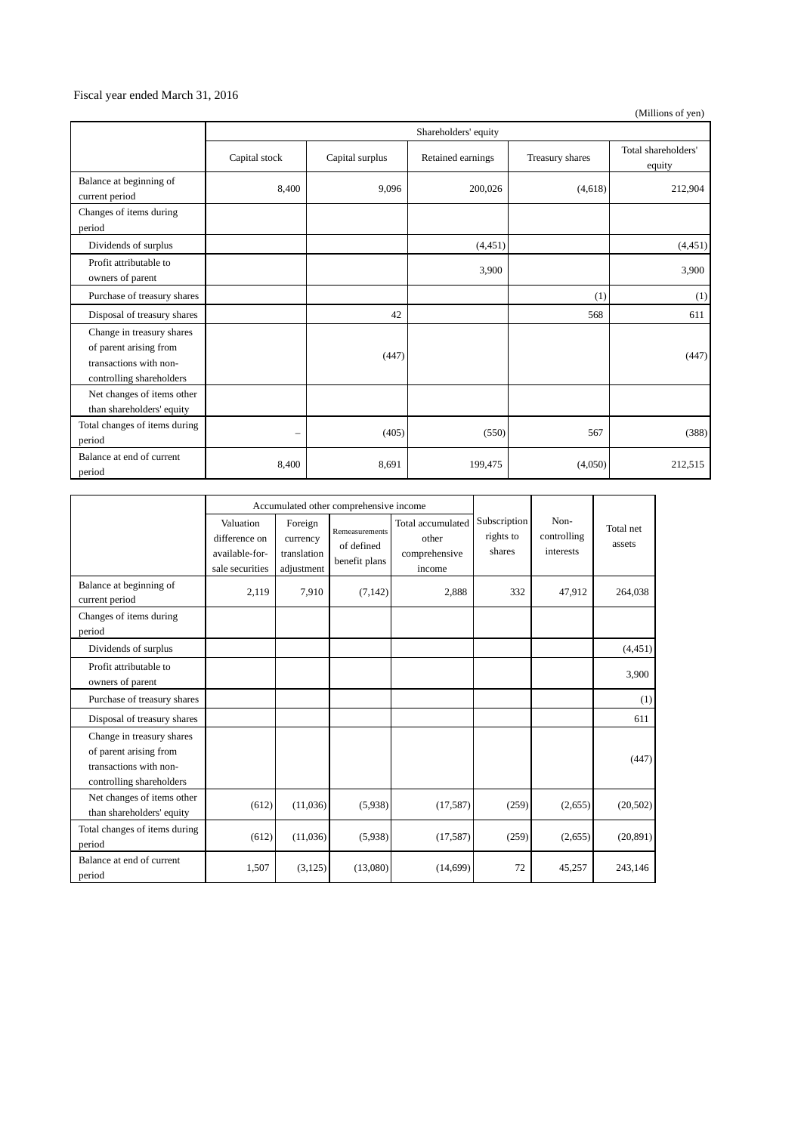#### Fiscal year ended March 31, 2016

(Millions of yen)

|                                                                                                           |                                |                 | Shareholders' equity |                 |                               |
|-----------------------------------------------------------------------------------------------------------|--------------------------------|-----------------|----------------------|-----------------|-------------------------------|
|                                                                                                           | Capital stock                  | Capital surplus | Retained earnings    | Treasury shares | Total shareholders'<br>equity |
| Balance at beginning of<br>current period                                                                 | 8,400                          | 9,096           | 200,026              | (4,618)         | 212,904                       |
| Changes of items during<br>period                                                                         |                                |                 |                      |                 |                               |
| Dividends of surplus                                                                                      |                                |                 | (4,451)              |                 | (4, 451)                      |
| Profit attributable to<br>owners of parent                                                                |                                |                 | 3,900                |                 | 3,900                         |
| Purchase of treasury shares                                                                               |                                |                 |                      | (1)             | (1)                           |
| Disposal of treasury shares                                                                               |                                | 42              |                      | 568             | 611                           |
| Change in treasury shares<br>of parent arising from<br>transactions with non-<br>controlling shareholders |                                | (447)           |                      |                 | (447)                         |
| Net changes of items other<br>than shareholders' equity                                                   |                                |                 |                      |                 |                               |
| Total changes of items during<br>period                                                                   | $\qquad \qquad \longleftarrow$ | (405)           | (550)                | 567             | (388)                         |
| Balance at end of current<br>period                                                                       | 8,400                          | 8,691           | 199,475              | (4,050)         | 212,515                       |

|                                                                                                           |                                                                 |                                                  | Accumulated other comprehensive income        |                                                       |                                     |                                  |                     |
|-----------------------------------------------------------------------------------------------------------|-----------------------------------------------------------------|--------------------------------------------------|-----------------------------------------------|-------------------------------------------------------|-------------------------------------|----------------------------------|---------------------|
|                                                                                                           | Valuation<br>difference on<br>available-for-<br>sale securities | Foreign<br>currency<br>translation<br>adjustment | Remeasurements<br>of defined<br>benefit plans | Total accumulated<br>other<br>comprehensive<br>income | Subscription<br>rights to<br>shares | Non-<br>controlling<br>interests | Total net<br>assets |
| Balance at beginning of<br>current period                                                                 | 2,119                                                           | 7,910                                            | (7, 142)                                      | 2,888                                                 | 332                                 | 47,912                           | 264,038             |
| Changes of items during<br>period                                                                         |                                                                 |                                                  |                                               |                                                       |                                     |                                  |                     |
| Dividends of surplus                                                                                      |                                                                 |                                                  |                                               |                                                       |                                     |                                  | (4, 451)            |
| Profit attributable to<br>owners of parent                                                                |                                                                 |                                                  |                                               |                                                       |                                     |                                  | 3,900               |
| Purchase of treasury shares                                                                               |                                                                 |                                                  |                                               |                                                       |                                     |                                  | (1)                 |
| Disposal of treasury shares                                                                               |                                                                 |                                                  |                                               |                                                       |                                     |                                  | 611                 |
| Change in treasury shares<br>of parent arising from<br>transactions with non-<br>controlling shareholders |                                                                 |                                                  |                                               |                                                       |                                     |                                  | (447)               |
| Net changes of items other<br>than shareholders' equity                                                   | (612)                                                           | (11,036)                                         | (5,938)                                       | (17, 587)                                             | (259)                               | (2,655)                          | (20,502)            |
| Total changes of items during<br>period                                                                   | (612)                                                           | (11,036)                                         | (5,938)                                       | (17, 587)                                             | (259)                               | (2,655)                          | (20, 891)           |
| Balance at end of current<br>period                                                                       | 1,507                                                           | (3, 125)                                         | (13,080)                                      | (14,699)                                              | 72                                  | 45,257                           | 243.146             |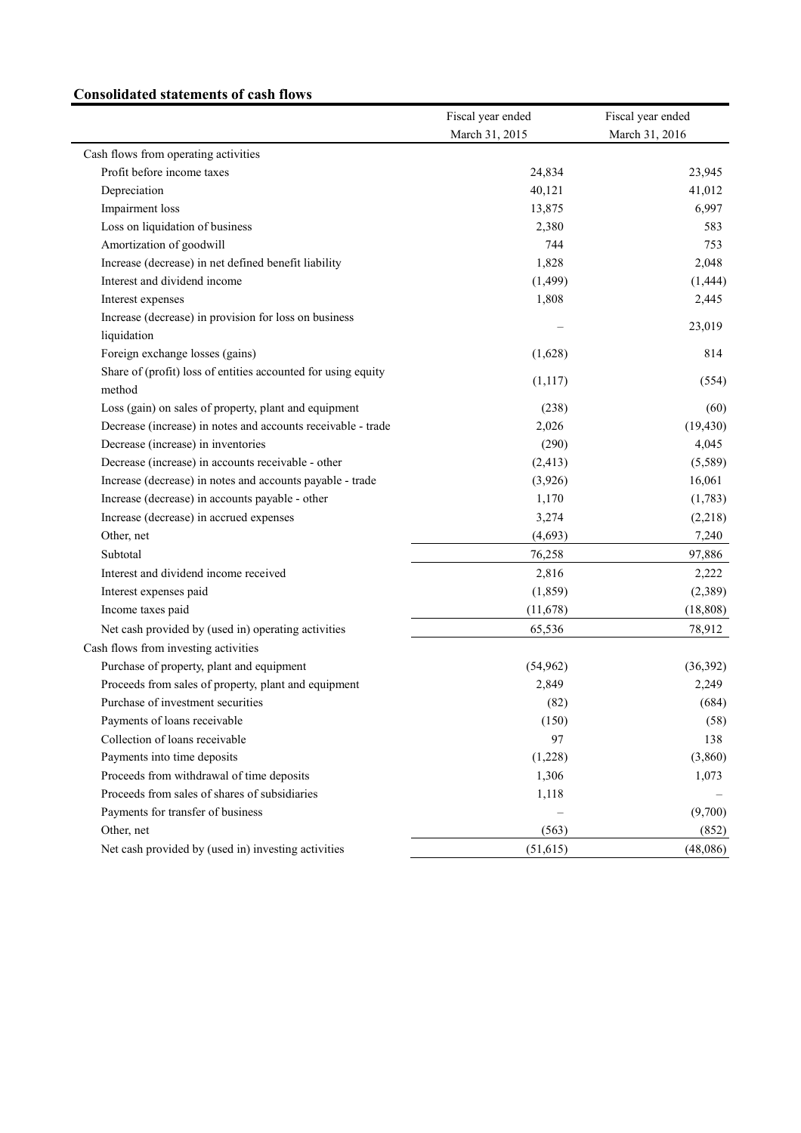#### **Consolidated statements of cash flows**

|                                                                         | Fiscal year ended | Fiscal year ended |
|-------------------------------------------------------------------------|-------------------|-------------------|
|                                                                         | March 31, 2015    | March 31, 2016    |
| Cash flows from operating activities                                    |                   |                   |
| Profit before income taxes                                              | 24,834            | 23,945            |
| Depreciation                                                            | 40,121            | 41,012            |
| Impairment loss                                                         | 13,875            | 6,997             |
| Loss on liquidation of business                                         | 2,380             | 583               |
| Amortization of goodwill                                                | 744               | 753               |
| Increase (decrease) in net defined benefit liability                    | 1,828             | 2,048             |
| Interest and dividend income                                            | (1, 499)          | (1, 444)          |
| Interest expenses                                                       | 1,808             | 2,445             |
| Increase (decrease) in provision for loss on business                   |                   |                   |
| liquidation                                                             |                   | 23,019            |
| Foreign exchange losses (gains)                                         | (1,628)           | 814               |
| Share of (profit) loss of entities accounted for using equity<br>method | (1, 117)          | (554)             |
| Loss (gain) on sales of property, plant and equipment                   | (238)             | (60)              |
| Decrease (increase) in notes and accounts receivable - trade            | 2,026             | (19, 430)         |
| Decrease (increase) in inventories                                      | (290)             | 4,045             |
| Decrease (increase) in accounts receivable - other                      | (2, 413)          | (5,589)           |
| Increase (decrease) in notes and accounts payable - trade               | (3,926)           | 16,061            |
| Increase (decrease) in accounts payable - other                         | 1,170             | (1,783)           |
| Increase (decrease) in accrued expenses                                 | 3,274             | (2,218)           |
| Other, net                                                              | (4,693)           | 7,240             |
| Subtotal                                                                | 76,258            | 97,886            |
| Interest and dividend income received                                   | 2,816             | 2,222             |
| Interest expenses paid                                                  | (1, 859)          | (2,389)           |
| Income taxes paid                                                       | (11,678)          | (18, 808)         |
| Net cash provided by (used in) operating activities                     | 65,536            | 78,912            |
| Cash flows from investing activities                                    |                   |                   |
| Purchase of property, plant and equipment                               | (54, 962)         | (36,392)          |
| Proceeds from sales of property, plant and equipment                    | 2,849             | 2,249             |
| Purchase of investment securities                                       | (82)              | (684)             |
| Payments of loans receivable                                            | (150)             | (58)              |
| Collection of loans receivable                                          | 97                | 138               |
| Payments into time deposits                                             | (1,228)           | (3,860)           |
| Proceeds from withdrawal of time deposits                               | 1,306             | 1,073             |
| Proceeds from sales of shares of subsidiaries                           | 1,118             |                   |
| Payments for transfer of business                                       |                   | (9,700)           |
| Other, net                                                              | (563)             | (852)             |
| Net cash provided by (used in) investing activities                     | (51, 615)         | (48,086)          |